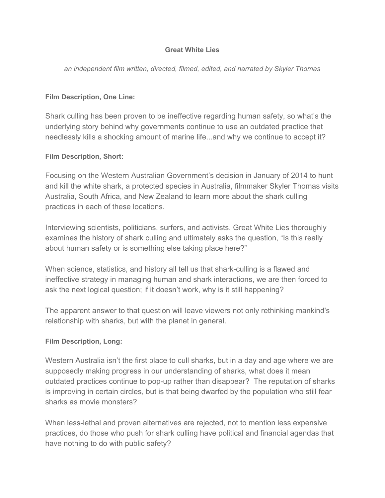#### **Great White Lies**

*an independent film written, directed, filmed, edited, and narrated by Skyler Thomas*

## **Film Description, One Line:**

Shark culling has been proven to be ineffective regarding human safety, so what's the underlying story behind why governments continue to use an outdated practice that needlessly kills a shocking amount of marine life...and why we continue to accept it?

### **Film Description, Short:**

Focusing on the Western Australian Government's decision in January of 2014 to hunt and kill the white shark, a protected species in Australia, filmmaker Skyler Thomas visits Australia, South Africa, and New Zealand to learn more about the shark culling practices in each of these locations.

Interviewing scientists, politicians, surfers, and activists, Great White Lies thoroughly examines the history of shark culling and ultimately asks the question, "Is this really about human safety or is something else taking place here?"

When science, statistics, and history all tell us that shark-culling is a flawed and ineffective strategy in managing human and shark interactions, we are then forced to ask the next logical question; if it doesn't work, why is it still happening?

The apparent answer to that question will leave viewers not only rethinking mankind's relationship with sharks, but with the planet in general.

# **Film Description, Long:**

Western Australia isn't the first place to cull sharks, but in a day and age where we are supposedly making progress in our understanding of sharks, what does it mean outdated practices continue to pop-up rather than disappear? The reputation of sharks is improving in certain circles, but is that being dwarfed by the population who still fear sharks as movie monsters?

When less-lethal and proven alternatives are rejected, not to mention less expensive practices, do those who push for shark culling have political and financial agendas that have nothing to do with public safety?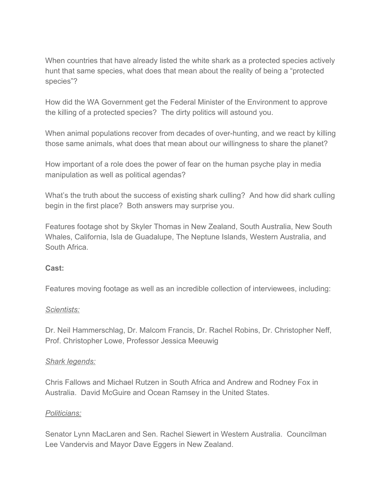When countries that have already listed the white shark as a protected species actively hunt that same species, what does that mean about the reality of being a "protected species"?

How did the WA Government get the Federal Minister of the Environment to approve the killing of a protected species? The dirty politics will astound you.

When animal populations recover from decades of over-hunting, and we react by killing those same animals, what does that mean about our willingness to share the planet?

How important of a role does the power of fear on the human psyche play in media manipulation as well as political agendas?

What's the truth about the success of existing shark culling? And how did shark culling begin in the first place? Both answers may surprise you.

Features footage shot by Skyler Thomas in New Zealand, South Australia, New South Whales, California, Isla de Guadalupe, The Neptune Islands, Western Australia, and South Africa.

# **Cast:**

Features moving footage as well as an incredible collection of interviewees, including:

#### *Scientists:*

Dr. Neil Hammerschlag, Dr. Malcom Francis, Dr. Rachel Robins, Dr. Christopher Neff, Prof. Christopher Lowe, Professor Jessica Meeuwig

#### *Shark legends:*

Chris Fallows and Michael Rutzen in South Africa and Andrew and Rodney Fox in Australia. David McGuire and Ocean Ramsey in the United States.

#### *Politicians:*

Senator Lynn MacLaren and Sen. Rachel Siewert in Western Australia. Councilman Lee Vandervis and Mayor Dave Eggers in New Zealand.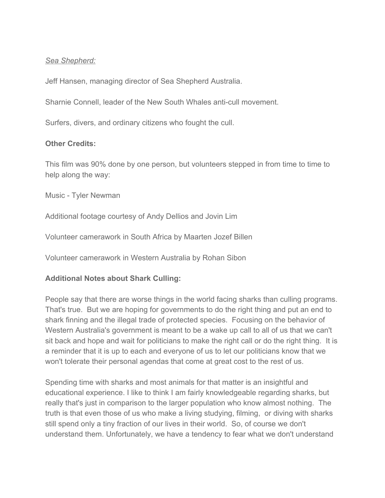## *Sea Shepherd:*

Jeff Hansen, managing director of Sea Shepherd Australia.

Sharnie Connell, leader of the New South Whales anti-cull movement.

Surfers, divers, and ordinary citizens who fought the cull.

### **Other Credits:**

This film was 90% done by one person, but volunteers stepped in from time to time to help along the way:

Music - Tyler Newman

Additional footage courtesy of Andy Dellios and Jovin Lim

Volunteer camerawork in South Africa by Maarten Jozef Billen

Volunteer camerawork in Western Australia by Rohan Sibon

# **Additional Notes about Shark Culling:**

People say that there are worse things in the world facing sharks than culling programs. That's true. But we are hoping for governments to do the right thing and put an end to shark finning and the illegal trade of protected species. Focusing on the behavior of Western Australia's government is meant to be a wake up call to all of us that we can't sit back and hope and wait for politicians to make the right call or do the right thing. It is a reminder that it is up to each and everyone of us to let our politicians know that we won't tolerate their personal agendas that come at great cost to the rest of us.

Spending time with sharks and most animals for that matter is an insightful and educational experience. I like to think I am fairly knowledgeable regarding sharks, but really that's just in comparison to the larger population who know almost nothing. The truth is that even those of us who make a living studying, filming, or diving with sharks still spend only a tiny fraction of our lives in their world. So, of course we don't understand them. Unfortunately, we have a tendency to fear what we don't understand